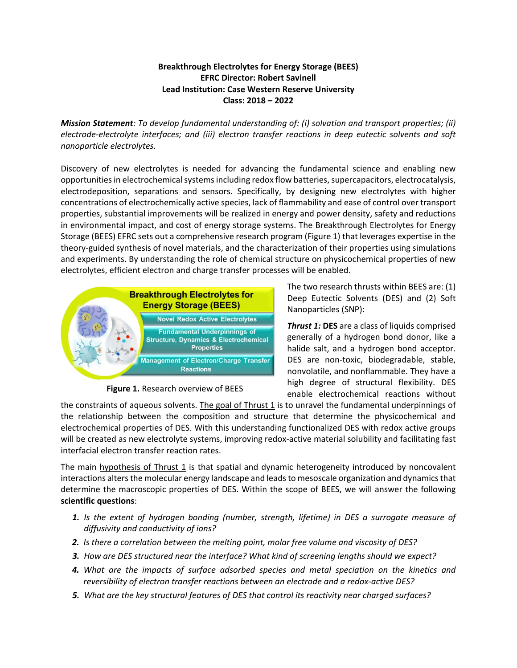## **Breakthrough Electrolytes for Energy Storage (BEES) EFRC Director: Robert Savinell Lead Institution: Case Western Reserve University Class: 2018 – 2022**

*Mission Statement: To develop fundamental understanding of: (i) solvation and transport properties; (ii) electrode-electrolyte interfaces; and (iii) electron transfer reactions in deep eutectic solvents and soft nanoparticle electrolytes.*

Discovery of new electrolytes is needed for advancing the fundamental science and enabling new opportunities in electrochemical systems including redox flow batteries, supercapacitors, electrocatalysis, electrodeposition, separations and sensors. Specifically, by designing new electrolytes with higher concentrations of electrochemically active species, lack of flammability and ease of control over transport properties, substantial improvements will be realized in energy and power density, safety and reductions in environmental impact, and cost of energy storage systems. The Breakthrough Electrolytes for Energy Storage (BEES) EFRC sets out a comprehensive research program (Figure 1) that leverages expertise in the theory-guided synthesis of novel materials, and the characterization of their properties using simulations and experiments. By understanding the role of chemical structure on physicochemical properties of new electrolytes, efficient electron and charge transfer processes will be enabled.



**Figure 1.** Research overview of BEES

The two research thrusts within BEES are: (1) Deep Eutectic Solvents (DES) and (2) Soft Nanoparticles (SNP):

*Thrust 1:* **DES** are a class of liquids comprised generally of a hydrogen bond donor, like a halide salt, and a hydrogen bond acceptor. DES are non-toxic, biodegradable, stable, nonvolatile, and nonflammable. They have a high degree of structural flexibility. DES enable electrochemical reactions without

the constraints of aqueous solvents. The goal of Thrust 1 is to unravel the fundamental underpinnings of the relationship between the composition and structure that determine the physicochemical and electrochemical properties of DES. With this understanding functionalized DES with redox active groups will be created as new electrolyte systems, improving redox-active material solubility and facilitating fast interfacial electron transfer reaction rates.

The main hypothesis of Thrust  $1$  is that spatial and dynamic heterogeneity introduced by noncovalent interactions alters the molecular energy landscape and leads to mesoscale organization and dynamics that determine the macroscopic properties of DES. Within the scope of BEES, we will answer the following **scientific questions**:

- *1. Is the extent of hydrogen bonding (number, strength, lifetime) in DES a surrogate measure of diffusivity and conductivity of ions?*
- *2. Is there a correlation between the melting point, molar free volume and viscosity of DES?*
- *3. How are DES structured near the interface? What kind of screening lengths should we expect?*
- *4. What are the impacts of surface adsorbed species and metal speciation on the kinetics and reversibility of electron transfer reactions between an electrode and a redox-active DES?*
- *5. What are the key structural features of DES that control its reactivity near charged surfaces?*